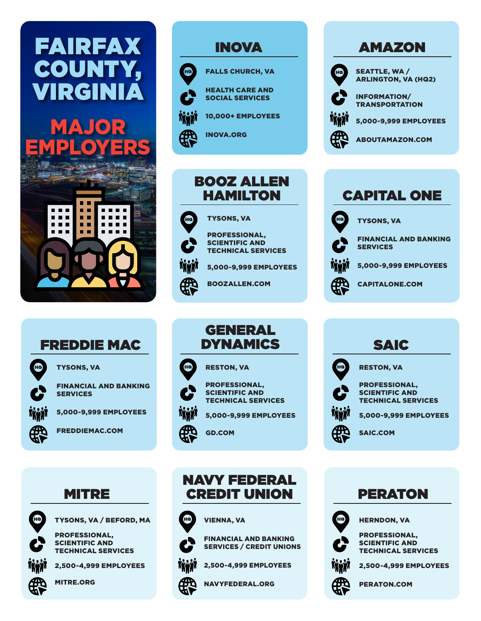# FAIRFAX COUNTY, VIRGINIA

# MAJOR EMPLOYERS





### BOOZ ALLEN HAMILTON HQ TYSONS, VA PROFESSIONAL, SCIENTIFIC AND

TECHNICAL SERVICES

5,000-9,999 EMPLOYEES

BOOZALLEN.COM

# AMAZON



SEATTLE, WA / ARLINGTON, VA (HQ2)

INFORMATION/ **TRANSPORTATION** 

5,000-9,999 EMPLOYEES

ABOUTAMAZON.COM



RESTON, VA

SAIC.COM

PROFESSIONAL, SCIENTIFIC AND TECHNICAL SERVICES

SAIC

5,000-9,999 EMPLOYEES

# FREDDIE MAC



TYSONS, VA

FINANCIAL AND BANKING SERVICES

5,000-9,999 EMPLOYEES



FREDDIEMAC.COM

## GENERAL DYNAMICS

RESTON, VA



PROFESSIONAL, SCIENTIFIC AND TECHNICAL SERVICES

5,000-9,999 EMPLOYEES



GD.COM

# MITRE



TYSONS, VA / BEFORD, MA



TECHNICAL SERVICES

2,500-4,999 EMPLOYEES



MITRE.ORG

# NAVY FEDERAL CREDIT UNION



VIENNA, VA



FINANCIAL AND BANKING SERVICES / CREDIT UNIONS

2,500-4,999 EMPLOYEES



# PERATON



HQ

HERNDON, VA

PROFESSIONAL, SCIENTIFIC AND TECHNICAL SERVICES



2,500-4,999 EMPLOYEES



PERATON.COM